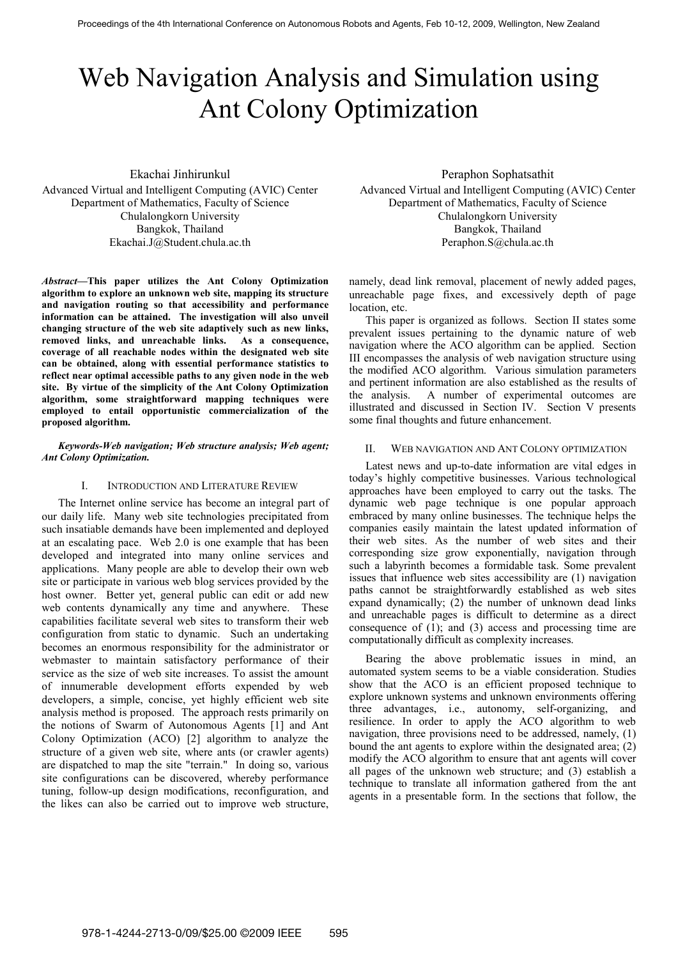# Web Navigation Analysis and Simulation using Ant Colony Optimization

Ekachai Jinhirunkul

Advanced Virtual and Intelligent Computing (AVIC) Center Department of Mathematics, Faculty of Science Chulalongkorn University Bangkok, Thailand Ekachai.J@Student.chula.ac.th

*Abstract***—This paper utilizes the Ant Colony Optimization algorithm to explore an unknown web site, mapping its structure and navigation routing so that accessibility and performance information can be attained. The investigation will also unveil changing structure of the web site adaptively such as new links, removed links, and unreachable links. As a consequence, coverage of all reachable nodes within the designated web site can be obtained, along with essential performance statistics to reflect near optimal accessible paths to any given node in the web site. By virtue of the simplicity of the Ant Colony Optimization algorithm, some straightforward mapping techniques were employed to entail opportunistic commercialization of the proposed algorithm.** 

#### *Keywords-Web navigation; Web structure analysis; Web agent; Ant Colony Optimization.*

## I. INTRODUCTION AND LITERATURE REVIEW

The Internet online service has become an integral part of our daily life. Many web site technologies precipitated from such insatiable demands have been implemented and deployed at an escalating pace. Web 2.0 is one example that has been developed and integrated into many online services and applications. Many people are able to develop their own web site or participate in various web blog services provided by the host owner. Better yet, general public can edit or add new web contents dynamically any time and anywhere. These capabilities facilitate several web sites to transform their web configuration from static to dynamic. Such an undertaking becomes an enormous responsibility for the administrator or webmaster to maintain satisfactory performance of their service as the size of web site increases. To assist the amount of innumerable development efforts expended by web developers, a simple, concise, yet highly efficient web site analysis method is proposed. The approach rests primarily on the notions of Swarm of Autonomous Agents [1] and Ant Colony Optimization (ACO) [2] algorithm to analyze the structure of a given web site, where ants (or crawler agents) are dispatched to map the site "terrain." In doing so, various site configurations can be discovered, whereby performance tuning, follow-up design modifications, reconfiguration, and the likes can also be carried out to improve web structure,

Peraphon Sophatsathit Advanced Virtual and Intelligent Computing (AVIC) Center Department of Mathematics, Faculty of Science Chulalongkorn University Bangkok, Thailand Peraphon.S@chula.ac.th

namely, dead link removal, placement of newly added pages, unreachable page fixes, and excessively depth of page location, etc.

This paper is organized as follows. Section II states some prevalent issues pertaining to the dynamic nature of web navigation where the ACO algorithm can be applied. Section III encompasses the analysis of web navigation structure using the modified ACO algorithm. Various simulation parameters and pertinent information are also established as the results of the analysis. A number of experimental outcomes are illustrated and discussed in Section IV. Section V presents some final thoughts and future enhancement.

## II. WEB NAVIGATION AND ANT COLONY OPTIMIZATION

Latest news and up-to-date information are vital edges in today's highly competitive businesses. Various technological approaches have been employed to carry out the tasks. The dynamic web page technique is one popular approach embraced by many online businesses. The technique helps the companies easily maintain the latest updated information of their web sites. As the number of web sites and their corresponding size grow exponentially, navigation through such a labyrinth becomes a formidable task. Some prevalent issues that influence web sites accessibility are (1) navigation paths cannot be straightforwardly established as web sites expand dynamically; (2) the number of unknown dead links and unreachable pages is difficult to determine as a direct consequence of (1); and (3) access and processing time are computationally difficult as complexity increases.

Bearing the above problematic issues in mind, an automated system seems to be a viable consideration. Studies show that the ACO is an efficient proposed technique to explore unknown systems and unknown environments offering three advantages, i.e., autonomy, self-organizing, and resilience. In order to apply the ACO algorithm to web navigation, three provisions need to be addressed, namely, (1) bound the ant agents to explore within the designated area; (2) modify the ACO algorithm to ensure that ant agents will cover all pages of the unknown web structure; and (3) establish a technique to translate all information gathered from the ant agents in a presentable form. In the sections that follow, the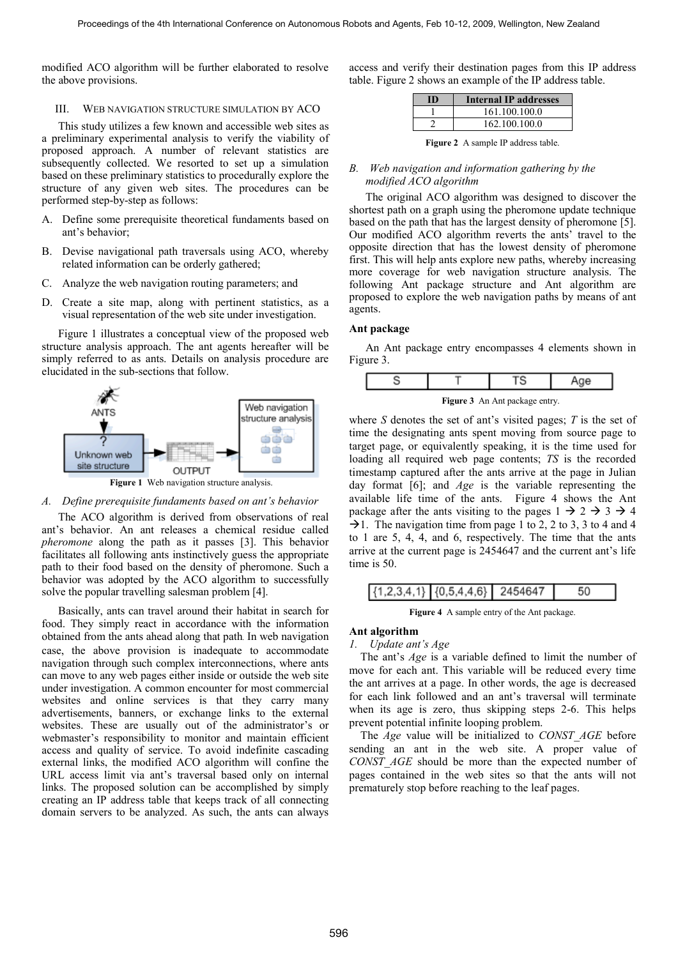modified ACO algorithm will be further elaborated to resolve the above provisions.

#### III. WEB NAVIGATION STRUCTURE SIMULATION BY ACO

This study utilizes a few known and accessible web sites as a preliminary experimental analysis to verify the viability of proposed approach. A number of relevant statistics are subsequently collected. We resorted to set up a simulation based on these preliminary statistics to procedurally explore the structure of any given web sites. The procedures can be performed step-by-step as follows:

- A. Define some prerequisite theoretical fundaments based on ant's behavior;
- B. Devise navigational path traversals using ACO, whereby related information can be orderly gathered;
- C. Analyze the web navigation routing parameters; and
- D. Create a site map, along with pertinent statistics, as a visual representation of the web site under investigation.

Figure 1 illustrates a conceptual view of the proposed web structure analysis approach. The ant agents hereafter will be simply referred to as ants. Details on analysis procedure are elucidated in the sub-sections that follow.



**Figure 1** Web navigation structure analysis.

## *A. Define prerequisite fundaments based on ant's behavior*

The ACO algorithm is derived from observations of real ant's behavior. An ant releases a chemical residue called *pheromone* along the path as it passes [3]. This behavior facilitates all following ants instinctively guess the appropriate path to their food based on the density of pheromone. Such a behavior was adopted by the ACO algorithm to successfully solve the popular travelling salesman problem [4].

Basically, ants can travel around their habitat in search for food. They simply react in accordance with the information obtained from the ants ahead along that path. In web navigation case, the above provision is inadequate to accommodate navigation through such complex interconnections, where ants can move to any web pages either inside or outside the web site under investigation. A common encounter for most commercial websites and online services is that they carry many advertisements, banners, or exchange links to the external websites. These are usually out of the administrator's or webmaster's responsibility to monitor and maintain efficient access and quality of service. To avoid indefinite cascading external links, the modified ACO algorithm will confine the URL access limit via ant's traversal based only on internal links. The proposed solution can be accomplished by simply creating an IP address table that keeps track of all connecting domain servers to be analyzed. As such, the ants can always

access and verify their destination pages from this IP address table. Figure 2 shows an example of the IP address table.

| Internal IP addresses |
|-----------------------|
| 161.100.100.0         |
| 162.100.100.0         |

**Figure 2** A sample IP address table.

# *B. Web navigation and information gathering by the modified ACO algorithm*

The original ACO algorithm was designed to discover the shortest path on a graph using the pheromone update technique based on the path that has the largest density of pheromone [5]. Our modified ACO algorithm reverts the ants' travel to the opposite direction that has the lowest density of pheromone first. This will help ants explore new paths, whereby increasing more coverage for web navigation structure analysis. The following Ant package structure and Ant algorithm are proposed to explore the web navigation paths by means of ant agents.

# **Ant package**

An Ant package entry encompasses 4 elements shown in Figure 3.

**Figure 3** An Ant package entry.

where *S* denotes the set of ant's visited pages; *T* is the set of time the designating ants spent moving from source page to target page, or equivalently speaking, it is the time used for loading all required web page contents; *TS* is the recorded timestamp captured after the ants arrive at the page in Julian day format [6]; and *Age* is the variable representing the available life time of the ants. Figure 4 shows the Ant package after the ants visiting to the pages  $1 \rightarrow 2 \rightarrow 3 \rightarrow 4$  $\rightarrow$  1. The navigation time from page 1 to 2, 2 to 3, 3 to 4 and 4 to 1 are 5, 4, 4, and 6, respectively. The time that the ants arrive at the current page is 2454647 and the current ant's life time is 50.



**Figure 4** A sample entry of the Ant package.

#### **Ant algorithm**

*1. Update ant's Age* 

 The ant's *Age* is a variable defined to limit the number of move for each ant. This variable will be reduced every time the ant arrives at a page. In other words, the age is decreased for each link followed and an ant's traversal will terminate when its age is zero, thus skipping steps 2-6. This helps prevent potential infinite looping problem.

 The *Age* value will be initialized to *CONST\_AGE* before sending an ant in the web site. A proper value of *CONST\_AGE* should be more than the expected number of pages contained in the web sites so that the ants will not prematurely stop before reaching to the leaf pages.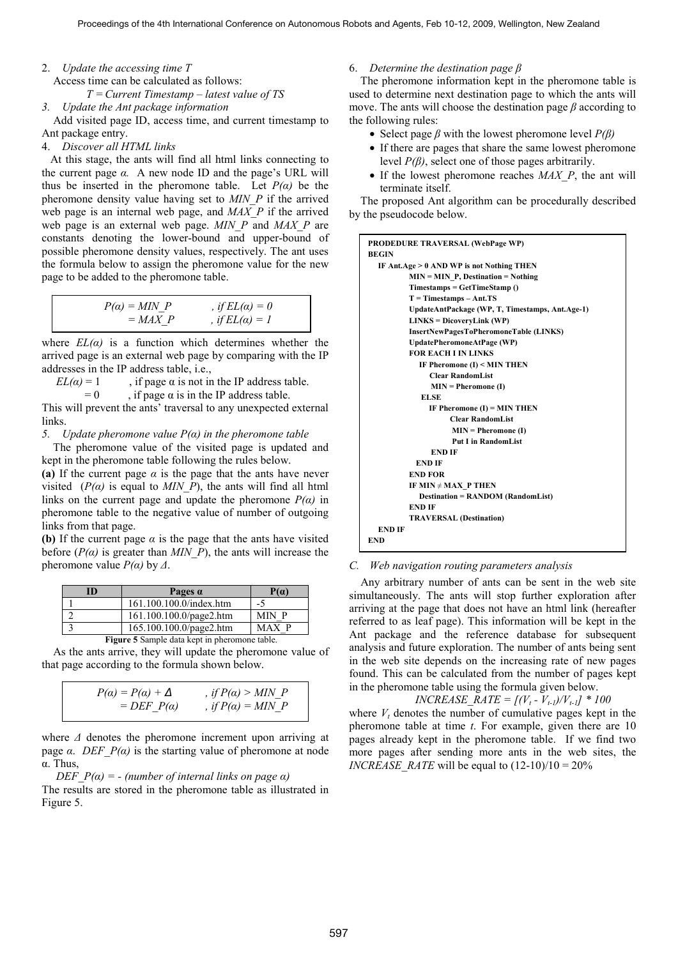2. *Update the accessing time T* Access time can be calculated as follows:

*T =Current Timestamp – latest value of TS*

*3. Update the Ant package information* 

 Add visited page ID, access time, and current timestamp to Ant package entry.

# 4. *Discover all HTML links*

 At this stage, the ants will find all html links connecting to the current page *α.* A new node ID and the page's URL will thus be inserted in the pheromone table. Let  $P(\alpha)$  be the pheromone density value having set to *MIN\_P* if the arrived web page is an internal web page, and *MAX\_P* if the arrived web page is an external web page. *MIN\_P* and *MAX\_P* are constants denoting the lower-bound and upper-bound of possible pheromone density values, respectively. The ant uses the formula below to assign the pheromone value for the new page to be added to the pheromone table.

$$
P(\alpha) = MIN\underset{\sim}{P} \quad , \quad \text{if } EL(\alpha) = 0
$$
\n
$$
= MAX\underset{\sim}{P} \quad , \quad \text{if } EL(\alpha) = 1
$$

where  $EL(\alpha)$  is a function which determines whether the arrived page is an external web page by comparing with the IP addresses in the IP address table, i.e.,

*EL(* $\alpha$ *)* = 1, if page  $\alpha$  is not in the IP address table.  $= 0$ , if page  $\alpha$  is in the IP address table.

This will prevent the ants' traversal to any unexpected external links.

*5. Update pheromone value P(α) in the pheromone table* 

 The pheromone value of the visited page is updated and kept in the pheromone table following the rules below.

**(a)** If the current page  $\alpha$  is the page that the ants have never visited  $(P(\alpha))$  is equal to *MIN* P, the ants will find all html links on the current page and update the pheromone  $P(\alpha)$  in pheromone table to the negative value of number of outgoing links from that page.

**(b)** If the current page  $\alpha$  is the page that the ants have visited before  $(P(\alpha)$  is greater than *MIN* P), the ants will increase the pheromone value  $P(\alpha)$  by  $\Delta$ .

| ID     | Pages a                 | $P(\alpha)$                     |
|--------|-------------------------|---------------------------------|
|        | 161.100.100.0/index.htm | -5                              |
|        | 161.100.100.0/page2.htm | MIN P                           |
|        | 165.100.100.0/page2.htm | MAX                             |
| $\sim$ | __________              | $\cdot$ $\cdot$ $\cdot$ $\cdot$ |

**Figure 5** Sample data kept in pheromone table.

 As the ants arrive, they will update the pheromone value of that page according to the formula shown below.

$$
P(\alpha) = P(\alpha) + \Delta \qquad , \text{ if } P(\alpha) > MIN\_P= DEF\_P(\alpha) \qquad , \text{ if } P(\alpha) = MIN\_P
$$

where *Δ* denotes the pheromone increment upon arriving at page  $\alpha$ . *DEF*  $P(\alpha)$  is the starting value of pheromone at node α. Thus,

*DEF*  $P(\alpha) = -$  (number of internal links on page  $\alpha$ )

The results are stored in the pheromone table as illustrated in Figure 5.

# 6. *Determine the destination page β*

 The pheromone information kept in the pheromone table is used to determine next destination page to which the ants will move. The ants will choose the destination page *β* according to the following rules:

- Select page *β* with the lowest pheromone level *P(β)*
- If there are pages that share the same lowest pheromone level  $P(\beta)$ , select one of those pages arbitrarily.
- If the lowest pheromone reaches *MAX\_P*, the ant will terminate itself.

 The proposed Ant algorithm can be procedurally described by the pseudocode below.

| <b>PRODEDURE TRAVERSAL (WebPage WP)</b>         |
|-------------------------------------------------|
| <b>BEGIN</b>                                    |
| IF Ant. Age > 0 AND WP is not Nothing THEN      |
| $MIN = MIN$ P, Destination = Nothing            |
| $Timestamps = GetTimeStamp()$                   |
| $T = Timestamps - Ant.TS$                       |
| UpdateAntPackage (WP, T, Timestamps, Ant.Age-1) |
| $LINKS = DiscoveryLink (WP)$                    |
| <b>InsertNewPagesToPheromoneTable (LINKS)</b>   |
| <b>UpdatePheromoneAtPage (WP)</b>               |
| <b>FOR EACH I IN LINKS</b>                      |
| IF Pheromone $(I)$ < MIN THEN                   |
| <b>Clear RandomList</b>                         |
| $MIN = Pheromone (I)$                           |
| <b>ELSE</b>                                     |
| IF Pheromone $(I) = MIN THEN$                   |
| <b>Clear RandomList</b>                         |
| $MIN = Pheromone (I)$                           |
| <b>Put I in RandomList</b>                      |
| <b>END IF</b>                                   |
| <b>END IF</b>                                   |
| <b>END FOR</b>                                  |
| IF MIN $\neq$ MAX P THEN                        |
| <b>Destination = RANDOM (RandomList)</b>        |
| <b>END IF</b>                                   |
| <b>TRAVERSAL (Destination)</b>                  |
| <b>END IF</b>                                   |
| <b>END</b>                                      |

#### *C. Web navigation routing parameters analysis*

 Any arbitrary number of ants can be sent in the web site simultaneously. The ants will stop further exploration after arriving at the page that does not have an html link (hereafter referred to as leaf page). This information will be kept in the Ant package and the reference database for subsequent analysis and future exploration. The number of ants being sent in the web site depends on the increasing rate of new pages found. This can be calculated from the number of pages kept in the pheromone table using the formula given below.

$$
INCREASE\_RATE = [(V_t - V_{t-1})/V_{t-1}] * 100
$$

where  $V_t$  denotes the number of cumulative pages kept in the pheromone table at time *t*. For example, given there are 10 pages already kept in the pheromone table. If we find two more pages after sending more ants in the web sites, the *INCREASE\_RATE* will be equal to  $(12-10)/10 = 20%$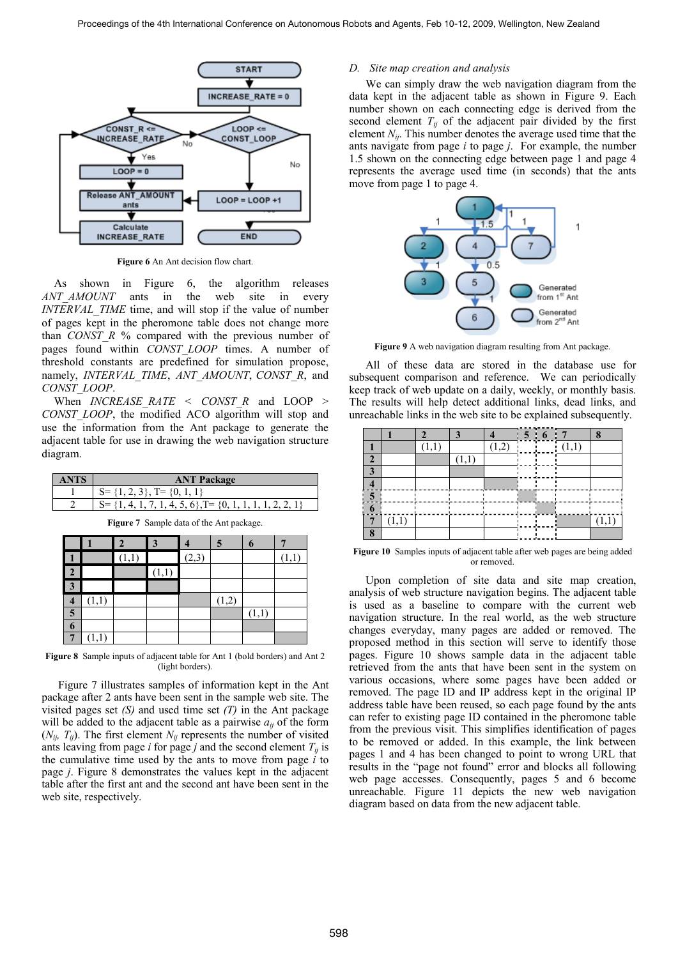

**Figure 6** An Ant decision flow chart.

As shown in Figure 6, the algorithm releases *ANT\_AMOUNT* ants in the web site in every *INTERVAL TIME* time, and will stop if the value of number of pages kept in the pheromone table does not change more than *CONST R* % compared with the previous number of pages found within *CONST\_LOOP* times. A number of threshold constants are predefined for simulation propose, namely, *INTERVAL\_TIME*, *ANT\_AMOUNT*, *CONST\_R*, and *CONST\_LOOP*.

When *INCREASE RATE < CONST R* and LOOP > *CONST\_LOOP*, the modified ACO algorithm will stop and use the information from the Ant package to generate the adjacent table for use in drawing the web navigation structure diagram.

| <b>ANT Package</b>                                    |
|-------------------------------------------------------|
| $S = \{1, 2, 3\}$ , $T = \{0, 1, 1\}$                 |
| $, 4, 1, 7, 1, 4, 5, 6$ , T= {0, 1, 1, 1, 1, 2, 2, 1} |

**Figure 7** Sample data of the Ant package.

|             |       | 2     | $\overline{\mathbf{3}}$ |       | 5     | 6     |                                               |
|-------------|-------|-------|-------------------------|-------|-------|-------|-----------------------------------------------|
|             |       | (1,1) |                         | (2,3) |       |       | $(\underline{1},\underline{1},\underline{1})$ |
| $\mathbf 2$ |       |       | (1,1)                   |       |       |       |                                               |
| 3           |       |       |                         |       |       |       |                                               |
|             | (1,1) |       |                         |       | (1,2) |       |                                               |
| 5           |       |       |                         |       |       | (1,1) |                                               |
| 6           |       |       |                         |       |       |       |                                               |
| 7           | 1,1   |       |                         |       |       |       |                                               |

**Figure 8** Sample inputs of adjacent table for Ant 1 (bold borders) and Ant 2 (light borders).

Figure 7 illustrates samples of information kept in the Ant package after 2 ants have been sent in the sample web site. The visited pages set *(S)* and used time set *(T)* in the Ant package will be added to the adjacent table as a pairwise  $a_{ij}$  of the form  $(N_{ij}, T_{ij})$ . The first element  $N_{ij}$  represents the number of visited ants leaving from page *i* for page *j* and the second element  $T_{ij}$  is the cumulative time used by the ants to move from page *i* to page *j*. Figure 8 demonstrates the values kept in the adjacent table after the first ant and the second ant have been sent in the web site, respectively.

# *D. Site map creation and analysis*

We can simply draw the web navigation diagram from the data kept in the adjacent table as shown in Figure 9. Each number shown on each connecting edge is derived from the second element  $T_{ij}$  of the adjacent pair divided by the first element *Nij*. This number denotes the average used time that the ants navigate from page *i* to page *j*. For example, the number 1.5 shown on the connecting edge between page 1 and page 4 represents the average used time (in seconds) that the ants move from page 1 to page 4.



**Figure 9** A web navigation diagram resulting from Ant package.

All of these data are stored in the database use for subsequent comparison and reference. We can periodically keep track of web update on a daily, weekly, or monthly basis. The results will help detect additional links, dead links, and unreachable links in the web site to be explained subsequently.



**Figure 10** Samples inputs of adjacent table after web pages are being added or removed.

Upon completion of site data and site map creation, analysis of web structure navigation begins. The adjacent table is used as a baseline to compare with the current web navigation structure. In the real world, as the web structure changes everyday, many pages are added or removed. The proposed method in this section will serve to identify those pages. Figure 10 shows sample data in the adjacent table retrieved from the ants that have been sent in the system on various occasions, where some pages have been added or removed. The page ID and IP address kept in the original IP address table have been reused, so each page found by the ants can refer to existing page ID contained in the pheromone table from the previous visit. This simplifies identification of pages to be removed or added. In this example, the link between pages 1 and 4 has been changed to point to wrong URL that results in the "page not found" error and blocks all following web page accesses. Consequently, pages 5 and 6 become unreachable. Figure 11 depicts the new web navigation diagram based on data from the new adjacent table.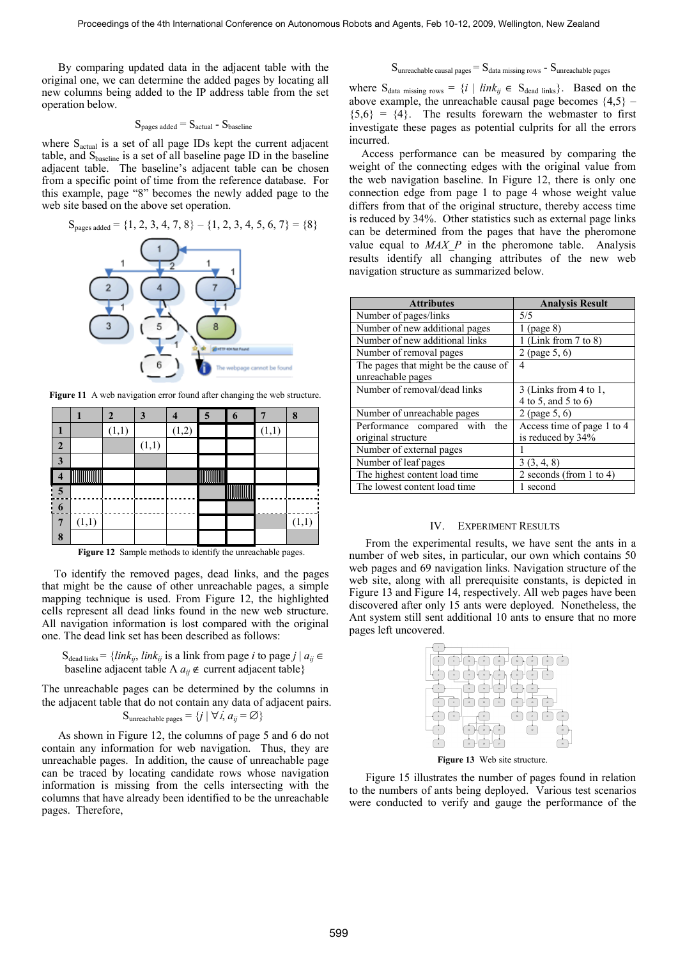By comparing updated data in the adjacent table with the original one, we can determine the added pages by locating all new columns being added to the IP address table from the set operation below.

# $S_{\text{pages added}} = S_{\text{actual}} - S_{\text{baseline}}$

where S<sub>actual</sub> is a set of all page IDs kept the current adjacent table, and Sbaseline is a set of all baseline page ID in the baseline adjacent table. The baseline's adjacent table can be chosen from a specific point of time from the reference database. For this example, page "8" becomes the newly added page to the web site based on the above set operation.



Figure 11 A web navigation error found after changing the web structure.

|                | 1     | $\overline{2}$ | $\mathbf{3}$ | $\overline{4}$ | 5 | 6 |       | 8     |
|----------------|-------|----------------|--------------|----------------|---|---|-------|-------|
|                |       | (1,1)          |              | (1,2)          |   |   | (1,1) |       |
| $\overline{2}$ |       |                | (1,1)        |                |   |   |       |       |
| 3              |       |                |              |                |   |   |       |       |
|                | Ш     |                |              |                |   |   |       |       |
| 5              |       |                |              |                |   |   |       |       |
| 6              |       |                |              |                |   |   |       |       |
| 7              | (1,1) |                |              |                |   |   |       | (1,1) |
| 8              |       |                |              |                |   |   |       |       |

**Figure 12** Sample methods to identify the unreachable pages.

To identify the removed pages, dead links, and the pages that might be the cause of other unreachable pages, a simple mapping technique is used. From Figure 12, the highlighted cells represent all dead links found in the new web structure. All navigation information is lost compared with the original one. The dead link set has been described as follows:

$$
S_{\text{dead links}} = \{link_{ij}, link_{ij} \text{ is a link from page } i \text{ to page } j \mid a_{ij} \in \text{baseline adjacent table } \Lambda \ a_{ij} \notin \text{current adjacent table} \}
$$

The unreachable pages can be determined by the columns in the adjacent table that do not contain any data of adjacent pairs.  $S_{\text{unreachable pages}} = \{j \mid \forall j, a_{ij} = \varnothing\}$ 

As shown in Figure 12, the columns of page 5 and 6 do not contain any information for web navigation. Thus, they are unreachable pages. In addition, the cause of unreachable page can be traced by locating candidate rows whose navigation information is missing from the cells intersecting with the columns that have already been identified to be the unreachable pages. Therefore,

$$
S_{\text{unreachable causal pages}} = S_{\text{data missing rows}} - S_{\text{unreachable pages}}
$$

where  $S_{data\text{ missing rows}} = \{i \mid link_{ij} \in S_{dead\text{ links}}\}$ . Based on the above example, the unreachable causal page becomes  $\{4,5\}$  –  ${5,6} = {4}$ . The results forewarn the webmaster to first investigate these pages as potential culprits for all the errors incurred.

Access performance can be measured by comparing the weight of the connecting edges with the original value from the web navigation baseline. In Figure 12, there is only one connection edge from page 1 to page 4 whose weight value differs from that of the original structure, thereby access time is reduced by 34%. Other statistics such as external page links can be determined from the pages that have the pheromone value equal to *MAX\_P* in the pheromone table. Analysis results identify all changing attributes of the new web navigation structure as summarized below.

| <b>Attributes</b>                    | <b>Analysis Result</b>     |  |  |
|--------------------------------------|----------------------------|--|--|
| Number of pages/links                | 5/5                        |  |  |
| Number of new additional pages       | $1$ (page 8)               |  |  |
| Number of new additional links       | 1 (Link from $7$ to $8$ )  |  |  |
| Number of removal pages              | 2 (page $5, 6$ )           |  |  |
| The pages that might be the cause of | 4                          |  |  |
| unreachable pages                    |                            |  |  |
| Number of removal/dead links         | $3$ (Links from 4 to 1,    |  |  |
|                                      | 4 to 5, and 5 to 6)        |  |  |
| Number of unreachable pages          | 2 (page $5, 6$ )           |  |  |
| Performance compared with<br>the     | Access time of page 1 to 4 |  |  |
| original structure                   | is reduced by 34%          |  |  |
| Number of external pages             |                            |  |  |
| Number of leaf pages                 | 3(3, 4, 8)                 |  |  |
| The highest content load time        | 2 seconds (from 1 to 4)    |  |  |
| The lowest content load time         | 1 second                   |  |  |

#### IV. EXPERIMENT RESULTS

From the experimental results, we have sent the ants in a number of web sites, in particular, our own which contains 50 web pages and 69 navigation links. Navigation structure of the web site, along with all prerequisite constants, is depicted in Figure 13 and Figure 14, respectively. All web pages have been discovered after only 15 ants were deployed. Nonetheless, the Ant system still sent additional 10 ants to ensure that no more pages left uncovered.



**Figure 13** Web site structure.

Figure 15 illustrates the number of pages found in relation to the numbers of ants being deployed. Various test scenarios were conducted to verify and gauge the performance of the